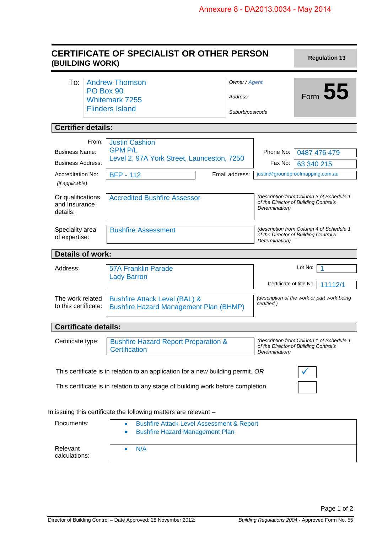| (BUILDING WORK)                                | <b>CERTIFICATE OF SPECIALIST OR OTHER PERSON</b>                                               |                 |                                                                                                     | <b>Regulation 13</b>                                                              |
|------------------------------------------------|------------------------------------------------------------------------------------------------|-----------------|-----------------------------------------------------------------------------------------------------|-----------------------------------------------------------------------------------|
| To:                                            | <b>Andrew Thomson</b><br>Owner / Agent<br>PO Box 90                                            |                 |                                                                                                     | Form 55                                                                           |
|                                                | <b>Whitemark 7255</b>                                                                          | Address         |                                                                                                     |                                                                                   |
|                                                | <b>Flinders Island</b>                                                                         | Suburb/postcode |                                                                                                     |                                                                                   |
| <b>Certifier details:</b>                      |                                                                                                |                 |                                                                                                     |                                                                                   |
| From:                                          | <b>Justin Cashion</b>                                                                          |                 |                                                                                                     |                                                                                   |
| <b>Business Name:</b>                          | <b>GPM P/L</b>                                                                                 |                 |                                                                                                     | Phone No: 0487 476 479                                                            |
| <b>Business Address:</b>                       | Level 2, 97A York Street, Launceston, 7250                                                     |                 | Fax No:                                                                                             | 63 340 215                                                                        |
| <b>Accreditation No:</b>                       | <b>BFP - 112</b>                                                                               | Email address:  |                                                                                                     | justin@groundproofmapping.com.au                                                  |
| (if applicable)                                |                                                                                                |                 |                                                                                                     |                                                                                   |
| Or qualifications<br>and Insurance<br>details: | <b>Accredited Bushfire Assessor</b>                                                            |                 | (description from Column 3 of Schedule 1<br>of the Director of Building Control's<br>Determination) |                                                                                   |
| Speciality area<br>of expertise:               | <b>Bushfire Assessment</b>                                                                     |                 | Determination)                                                                                      | (description from Column 4 of Schedule 1<br>of the Director of Building Control's |
| <b>Details of work:</b>                        |                                                                                                |                 |                                                                                                     |                                                                                   |
| Address:                                       | <b>57A Franklin Parade</b><br><b>Lady Barron</b>                                               |                 |                                                                                                     | Lot No:<br>1                                                                      |
|                                                |                                                                                                |                 | Certificate of title No                                                                             | 11112/1                                                                           |
| The work related<br>to this certificate:       | <b>Bushfire Attack Level (BAL) &amp;</b><br><b>Bushfire Hazard Management Plan (BHMP)</b>      |                 | (description of the work or part work being<br>certified)                                           |                                                                                   |
| <b>Certificate details:</b>                    |                                                                                                |                 |                                                                                                     |                                                                                   |
| Certificate type:                              | <b>Bushfire Hazard Report Preparation &amp;</b><br><b>Certification</b>                        |                 | Determination)                                                                                      | (description from Column 1 of Schedule 1<br>of the Director of Building Control's |
|                                                | This certificate is in relation to an application for a new building permit. OR                |                 |                                                                                                     |                                                                                   |
|                                                | This certificate is in relation to any stage of building work before completion.               |                 |                                                                                                     |                                                                                   |
|                                                | In issuing this certificate the following matters are relevant -                               |                 |                                                                                                     |                                                                                   |
| Documents:                                     | <b>Bushfire Attack Level Assessment &amp; Report</b><br><b>Bushfire Hazard Management Plan</b> |                 |                                                                                                     |                                                                                   |
| Relevant                                       | N/A                                                                                            |                 |                                                                                                     |                                                                                   |